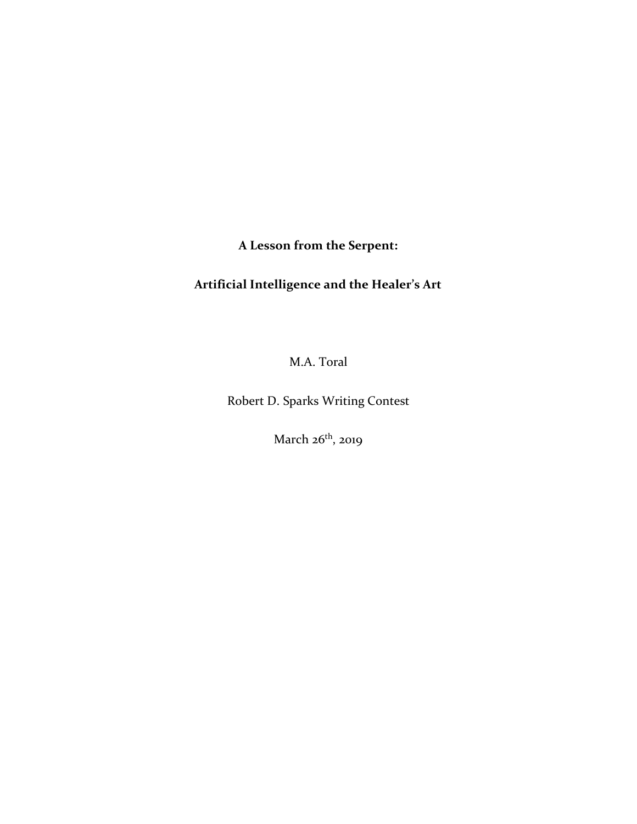**A Lesson from the Serpent:**

## **Artificial Intelligence and the Healer's Art**

M.A. Toral

Robert D. Sparks Writing Contest

March 26<sup>th</sup>, 2019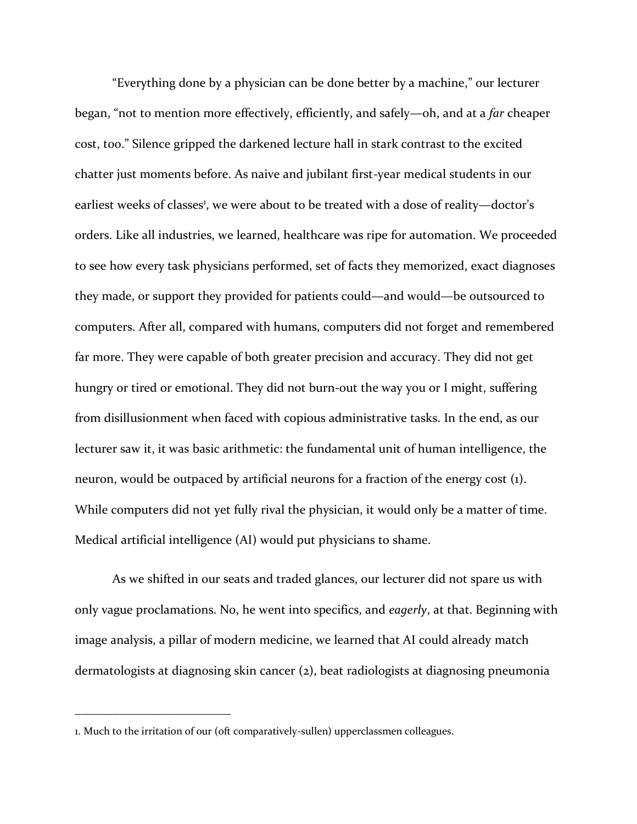"Everything done by a physician can be done better by a machine," our lecturer began, "not to mention more effectively, efficiently, and safely—oh, and at a *far* cheaper cost, too." Silence gripped the darkened lecture hall in stark contrast to the excited chatter just moments before. As naive and jubilant first-year medical students in our earliest weeks of classes<sup>1</sup>, we were about to be treated with a dose of reality—doctor's orders. Like all industries, we learned, healthcare was ripe for automation. We proceeded to see how every task physicians performed, set of facts they memorized, exact diagnoses they made, or support they provided for patients could—and would—be outsourced to computers. After all, compared with humans, computers did not forget and remembered far more. They were capable of both greater precision and accuracy. They did not get hungry or tired or emotional. They did not burn-out the way you or I might, suffering from disillusionment when faced with copious administrative tasks. In the end, as our lecturer saw it, it was basic arithmetic: the fundamental unit of human intelligence, the neuron, would be outpaced by artificial neurons for a fraction of the energy cost (1). While computers did not yet fully rival the physician, it would only be a matter of time. Medical artificial intelligence (AI) would put physicians to shame.

As we shifted in our seats and traded glances, our lecturer did not spare us with only vague proclamations. No, he went into specifics, and *eagerly*, at that. Beginning with image analysis, a pillar of modern medicine, we learned that AI could already match dermatologists at diagnosing skin cancer (2), beat radiologists at diagnosing pneumonia

<sup>1.</sup> Much to the irritation of our (oft comparatively-sullen) upperclassmen colleagues.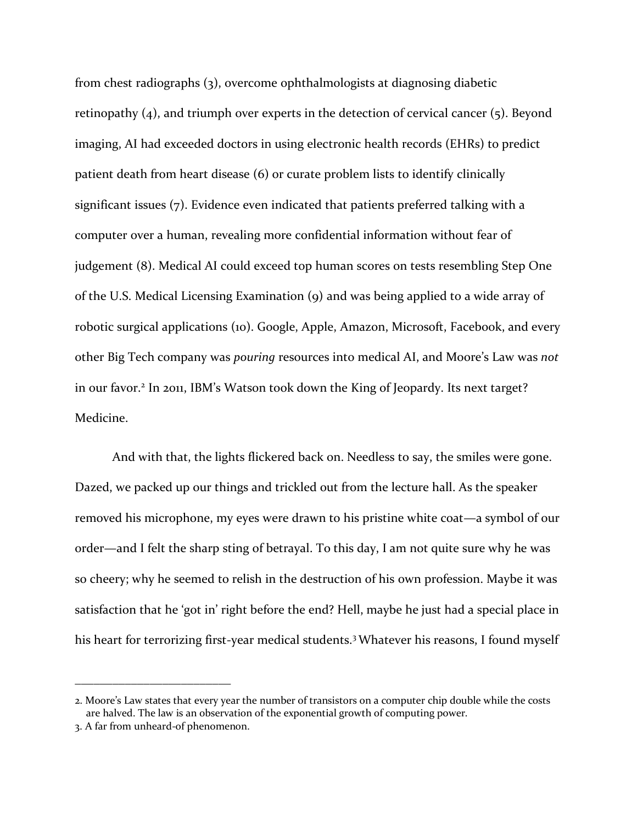from chest radiographs (3), overcome ophthalmologists at diagnosing diabetic retinopathy (4), and triumph over experts in the detection of cervical cancer (5). Beyond imaging, AI had exceeded doctors in using electronic health records (EHRs) to predict patient death from heart disease (6) or curate problem lists to identify clinically significant issues (7). Evidence even indicated that patients preferred talking with a computer over a human, revealing more confidential information without fear of judgement (8). Medical AI could exceed top human scores on tests resembling Step One of the U.S. Medical Licensing Examination (9) and was being applied to a wide array of robotic surgical applications (10). Google, Apple, Amazon, Microsoft, Facebook, and every other Big Tech company was *pouring* resources into medical AI, and Moore's Law was *not* in our favor.<sup>2</sup> In 2011, IBM's Watson took down the King of Jeopardy. Its next target? Medicine.

And with that, the lights flickered back on. Needless to say, the smiles were gone. Dazed, we packed up our things and trickled out from the lecture hall. As the speaker removed his microphone, my eyes were drawn to his pristine white coat—a symbol of our order—and I felt the sharp sting of betrayal. To this day, I am not quite sure why he was so cheery; why he seemed to relish in the destruction of his own profession. Maybe it was satisfaction that he 'got in' right before the end? Hell, maybe he just had a special place in his heart for terrorizing first-year medical students.<sup>3</sup> Whatever his reasons, I found myself

<sup>2.</sup> Moore's Law states that every year the number of transistors on a computer chip double while the costs are halved. The law is an observation of the exponential growth of computing power.

<sup>3.</sup> A far from unheard-of phenomenon.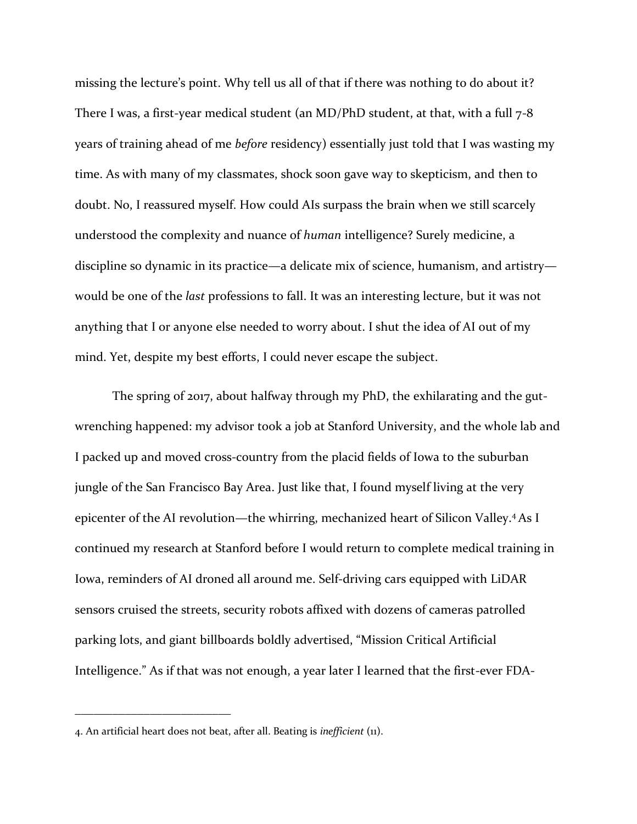missing the lecture's point. Why tell us all of that if there was nothing to do about it? There I was, a first-year medical student (an MD/PhD student, at that, with a full  $7-8$ ) years of training ahead of me *before* residency) essentially just told that I was wasting my time. As with many of my classmates, shock soon gave way to skepticism, and then to doubt. No, I reassured myself. How could AIs surpass the brain when we still scarcely understood the complexity and nuance of *human* intelligence? Surely medicine, a discipline so dynamic in its practice—a delicate mix of science, humanism, and artistry would be one of the *last* professions to fall. It was an interesting lecture, but it was not anything that I or anyone else needed to worry about. I shut the idea of AI out of my mind. Yet, despite my best efforts, I could never escape the subject.

The spring of 2017, about halfway through my PhD, the exhilarating and the gutwrenching happened: my advisor took a job at Stanford University, and the whole lab and I packed up and moved cross-country from the placid fields of Iowa to the suburban jungle of the San Francisco Bay Area. Just like that, I found myself living at the very epicenter of the AI revolution—the whirring, mechanized heart of Silicon Valley.<sup>4</sup> As I continued my research at Stanford before I would return to complete medical training in Iowa, reminders of AI droned all around me. Self-driving cars equipped with LiDAR sensors cruised the streets, security robots affixed with dozens of cameras patrolled parking lots, and giant billboards boldly advertised, "Mission Critical Artificial Intelligence." As if that was not enough, a year later I learned that the first-ever FDA-

<sup>4.</sup> An artificial heart does not beat, after all. Beating is *inefficient* (11).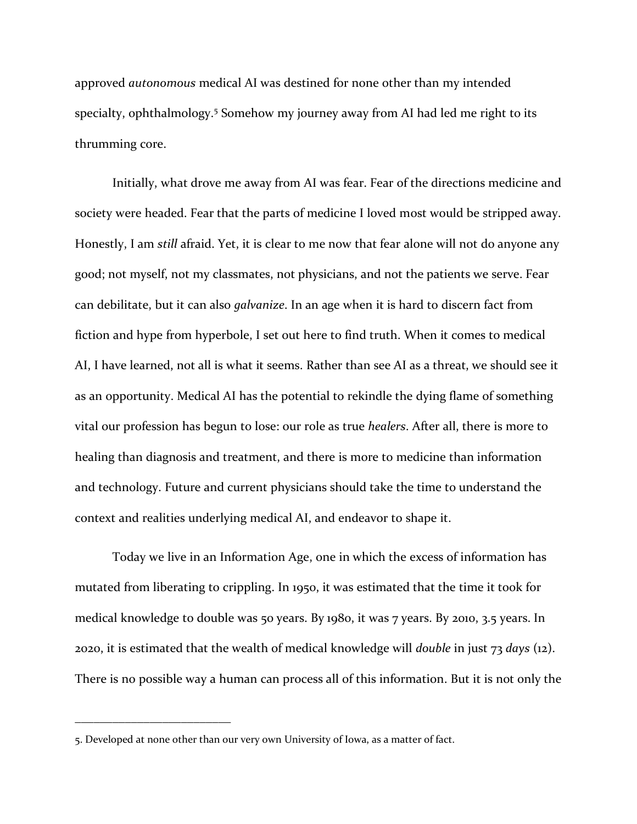approved *autonomous* medical AI was destined for none other than my intended specialty, ophthalmology.<sup>5</sup> Somehow my journey away from AI had led me right to its thrumming core.

Initially, what drove me away from AI was fear. Fear of the directions medicine and society were headed. Fear that the parts of medicine I loved most would be stripped away. Honestly, I am *still* afraid. Yet, it is clear to me now that fear alone will not do anyone any good; not myself, not my classmates, not physicians, and not the patients we serve. Fear can debilitate, but it can also *galvanize*. In an age when it is hard to discern fact from fiction and hype from hyperbole, I set out here to find truth. When it comes to medical AI, I have learned, not all is what it seems. Rather than see AI as a threat, we should see it as an opportunity. Medical AI has the potential to rekindle the dying flame of something vital our profession has begun to lose: our role as true *healers*. After all, there is more to healing than diagnosis and treatment, and there is more to medicine than information and technology. Future and current physicians should take the time to understand the context and realities underlying medical AI, and endeavor to shape it.

Today we live in an Information Age, one in which the excess of information has mutated from liberating to crippling. In 1950, it was estimated that the time it took for medical knowledge to double was 50 years. By 1980, it was 7 years. By 2010, 3.5 years. In 2020, it is estimated that the wealth of medical knowledge will *double* in just 73 *days* (12). There is no possible way a human can process all of this information. But it is not only the

<sup>5.</sup> Developed at none other than our very own University of Iowa, as a matter of fact.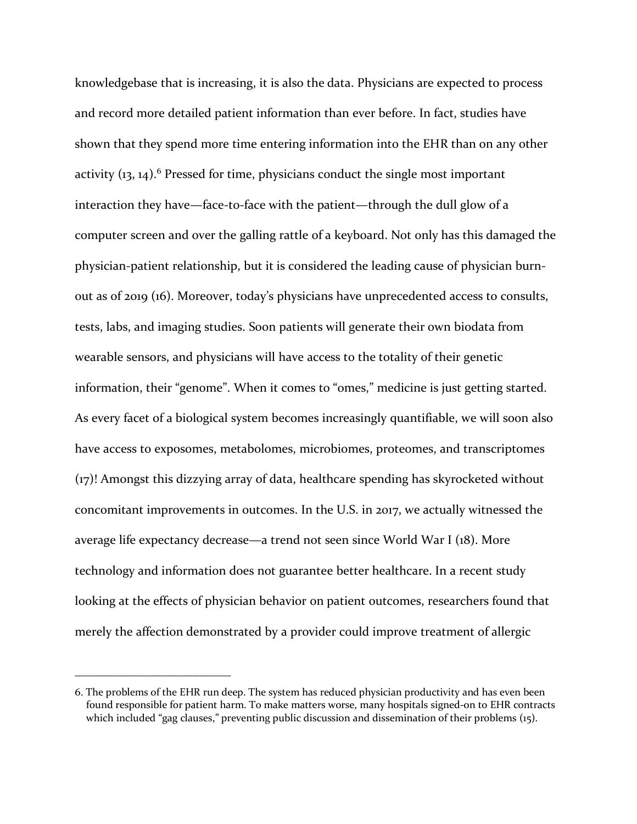knowledgebase that is increasing, it is also the data. Physicians are expected to process and record more detailed patient information than ever before. In fact, studies have shown that they spend more time entering information into the EHR than on any other activity  $(13, 14)$ .<sup>6</sup> Pressed for time, physicians conduct the single most important interaction they have—face-to-face with the patient—through the dull glow of a computer screen and over the galling rattle of a keyboard. Not only has this damaged the physician-patient relationship, but it is considered the leading cause of physician burnout as of 2019 (16). Moreover, today's physicians have unprecedented access to consults, tests, labs, and imaging studies. Soon patients will generate their own biodata from wearable sensors, and physicians will have access to the totality of their genetic information, their "genome". When it comes to "omes," medicine is just getting started. As every facet of a biological system becomes increasingly quantifiable, we will soon also have access to exposomes, metabolomes, microbiomes, proteomes, and transcriptomes (17)! Amongst this dizzying array of data, healthcare spending has skyrocketed without concomitant improvements in outcomes. In the U.S. in 2017, we actually witnessed the average life expectancy decrease—a trend not seen since World War I (18). More technology and information does not guarantee better healthcare. In a recent study looking at the effects of physician behavior on patient outcomes, researchers found that merely the affection demonstrated by a provider could improve treatment of allergic

<sup>6.</sup> The problems of the EHR run deep. The system has reduced physician productivity and has even been found responsible for patient harm. To make matters worse, many hospitals signed-on to EHR contracts which included "gag clauses," preventing public discussion and dissemination of their problems (15).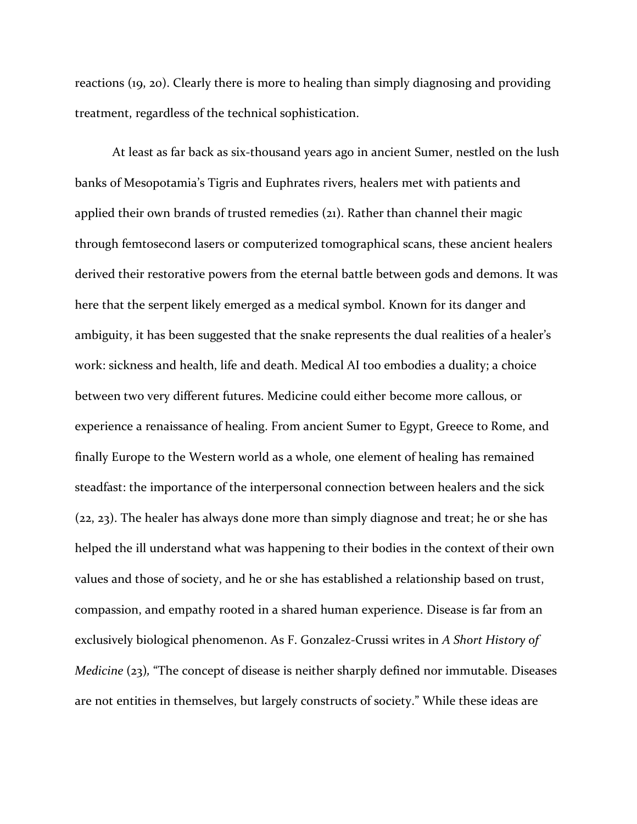reactions (19, 20). Clearly there is more to healing than simply diagnosing and providing treatment, regardless of the technical sophistication.

At least as far back as six-thousand years ago in ancient Sumer, nestled on the lush banks of Mesopotamia's Tigris and Euphrates rivers, healers met with patients and applied their own brands of trusted remedies (21). Rather than channel their magic through femtosecond lasers or computerized tomographical scans, these ancient healers derived their restorative powers from the eternal battle between gods and demons. It was here that the serpent likely emerged as a medical symbol. Known for its danger and ambiguity, it has been suggested that the snake represents the dual realities of a healer's work: sickness and health, life and death. Medical AI too embodies a duality; a choice between two very different futures. Medicine could either become more callous, or experience a renaissance of healing. From ancient Sumer to Egypt, Greece to Rome, and finally Europe to the Western world as a whole, one element of healing has remained steadfast: the importance of the interpersonal connection between healers and the sick (22, 23). The healer has always done more than simply diagnose and treat; he or she has helped the ill understand what was happening to their bodies in the context of their own values and those of society, and he or she has established a relationship based on trust, compassion, and empathy rooted in a shared human experience. Disease is far from an exclusively biological phenomenon. As F. Gonzalez-Crussi writes in *A Short History of Medicine* (23), "The concept of disease is neither sharply defined nor immutable. Diseases are not entities in themselves, but largely constructs of society." While these ideas are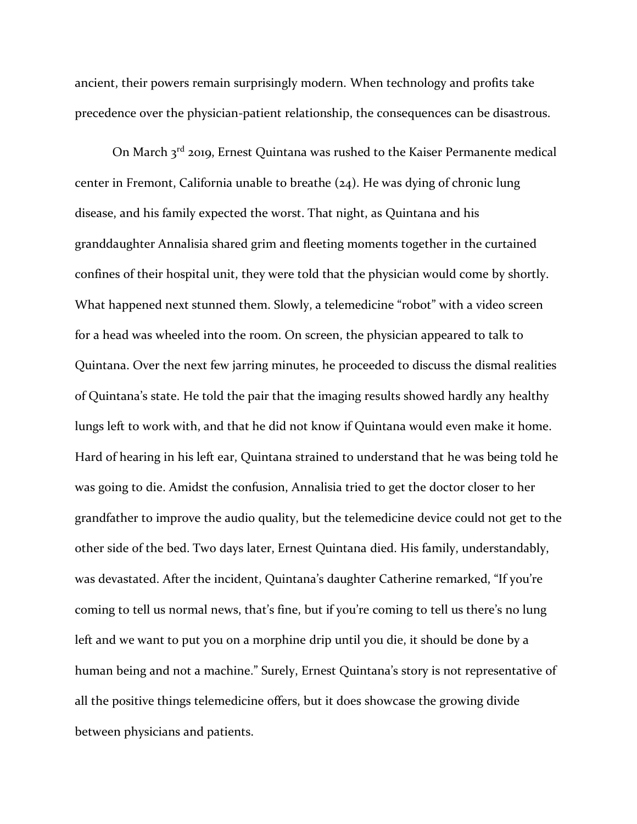ancient, their powers remain surprisingly modern. When technology and profits take precedence over the physician-patient relationship, the consequences can be disastrous.

On March  $3<sup>rd</sup>$  2019, Ernest Quintana was rushed to the Kaiser Permanente medical center in Fremont, California unable to breathe (24). He was dying of chronic lung disease, and his family expected the worst. That night, as Quintana and his granddaughter Annalisia shared grim and fleeting moments together in the curtained confines of their hospital unit, they were told that the physician would come by shortly. What happened next stunned them. Slowly, a telemedicine "robot" with a video screen for a head was wheeled into the room. On screen, the physician appeared to talk to Quintana. Over the next few jarring minutes, he proceeded to discuss the dismal realities of Quintana's state. He told the pair that the imaging results showed hardly any healthy lungs left to work with, and that he did not know if Quintana would even make it home. Hard of hearing in his left ear, Quintana strained to understand that he was being told he was going to die. Amidst the confusion, Annalisia tried to get the doctor closer to her grandfather to improve the audio quality, but the telemedicine device could not get to the other side of the bed. Two days later, Ernest Quintana died. His family, understandably, was devastated. After the incident, Quintana's daughter Catherine remarked, "If you're coming to tell us normal news, that's fine, but if you're coming to tell us there's no lung left and we want to put you on a morphine drip until you die, it should be done by a human being and not a machine." Surely, Ernest Quintana's story is not representative of all the positive things telemedicine offers, but it does showcase the growing divide between physicians and patients.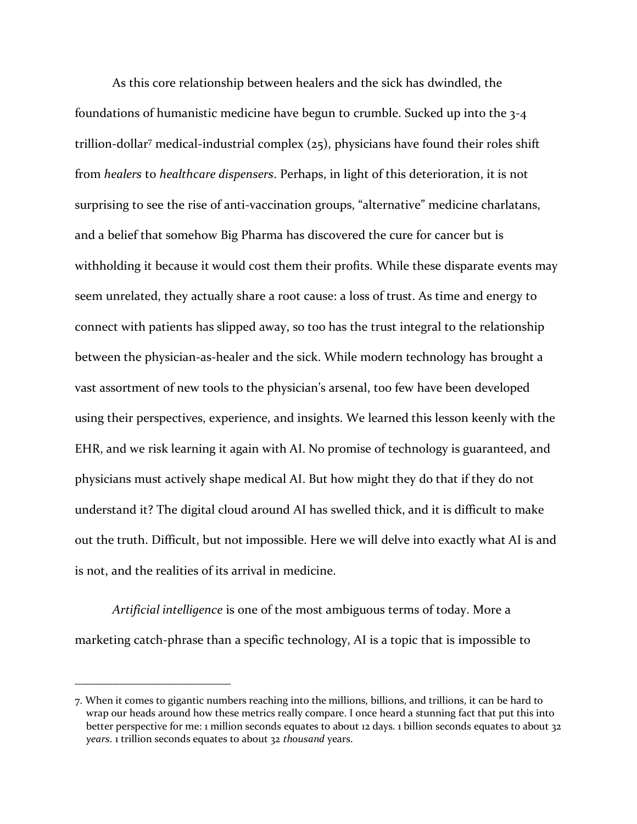As this core relationship between healers and the sick has dwindled, the foundations of humanistic medicine have begun to crumble. Sucked up into the 3-4 trillion-dollar<sup>7</sup> medical-industrial complex (25), physicians have found their roles shift from *healers* to *healthcare dispensers*. Perhaps, in light of this deterioration, it is not surprising to see the rise of anti-vaccination groups, "alternative" medicine charlatans, and a belief that somehow Big Pharma has discovered the cure for cancer but is withholding it because it would cost them their profits. While these disparate events may seem unrelated, they actually share a root cause: a loss of trust. As time and energy to connect with patients has slipped away, so too has the trust integral to the relationship between the physician-as-healer and the sick. While modern technology has brought a vast assortment of new tools to the physician's arsenal, too few have been developed using their perspectives, experience, and insights. We learned this lesson keenly with the EHR, and we risk learning it again with AI. No promise of technology is guaranteed, and physicians must actively shape medical AI. But how might they do that if they do not understand it? The digital cloud around AI has swelled thick, and it is difficult to make out the truth. Difficult, but not impossible. Here we will delve into exactly what AI is and is not, and the realities of its arrival in medicine.

*Artificial intelligence* is one of the most ambiguous terms of today. More a marketing catch-phrase than a specific technology, AI is a topic that is impossible to

<sup>7.</sup> When it comes to gigantic numbers reaching into the millions, billions, and trillions, it can be hard to wrap our heads around how these metrics really compare. I once heard a stunning fact that put this into better perspective for me: 1 million seconds equates to about 12 days. 1 billion seconds equates to about 32 *years*. 1 trillion seconds equates to about 32 *thousand* years.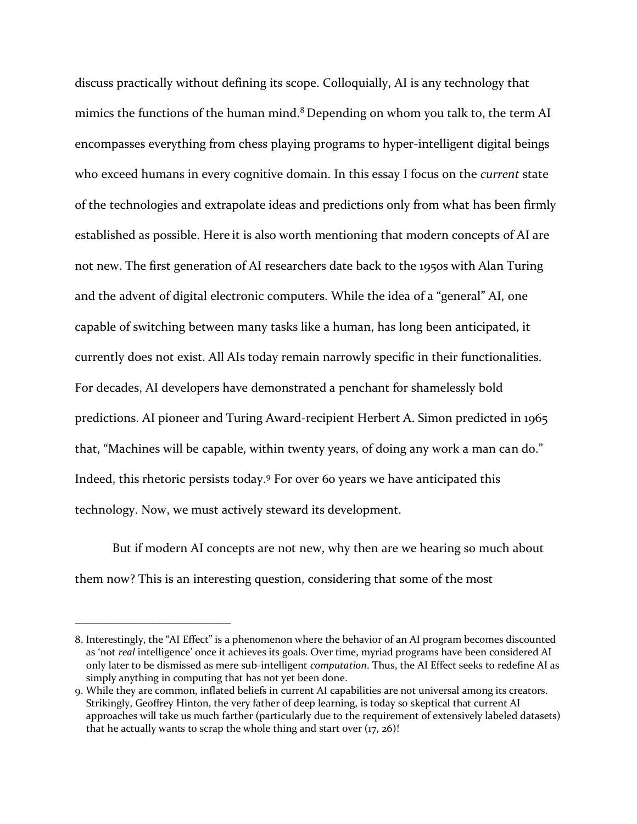discuss practically without defining its scope. Colloquially, AI is any technology that mimics the functions of the human mind.<sup>8</sup> Depending on whom you talk to, the term AI encompasses everything from chess playing programs to hyper-intelligent digital beings who exceed humans in every cognitive domain. In this essay I focus on the *current* state of the technologies and extrapolate ideas and predictions only from what has been firmly established as possible. Here it is also worth mentioning that modern concepts of AI are not new. The first generation of AI researchers date back to the 1950s with Alan Turing and the advent of digital electronic computers. While the idea of a "general" AI, one capable of switching between many tasks like a human, has long been anticipated, it currently does not exist. All AIs today remain narrowly specific in their functionalities. For decades, AI developers have demonstrated a penchant for shamelessly bold predictions. AI pioneer and Turing Award-recipient Herbert A. Simon predicted in 1965 that, "Machines will be capable, within twenty years, of doing any work a man can do." Indeed, this rhetoric persists today.<sup>9</sup> For over 60 years we have anticipated this technology. Now, we must actively steward its development.

But if modern AI concepts are not new, why then are we hearing so much about them now? This is an interesting question, considering that some of the most

<sup>8.</sup> Interestingly, the "AI Effect" is a phenomenon where the behavior of an AI program becomes discounted as 'not *real* intelligence' once it achieves its goals. Over time, myriad programs have been considered AI only later to be dismissed as mere sub-intelligent *computation*. Thus, the AI Effect seeks to redefine AI as simply anything in computing that has not yet been done.

<sup>9.</sup> While they are common, inflated beliefs in current AI capabilities are not universal among its creators. Strikingly, Geoffrey Hinton, the very father of deep learning, is today so skeptical that current AI approaches will take us much farther (particularly due to the requirement of extensively labeled datasets) that he actually wants to scrap the whole thing and start over  $(17, 26)$ !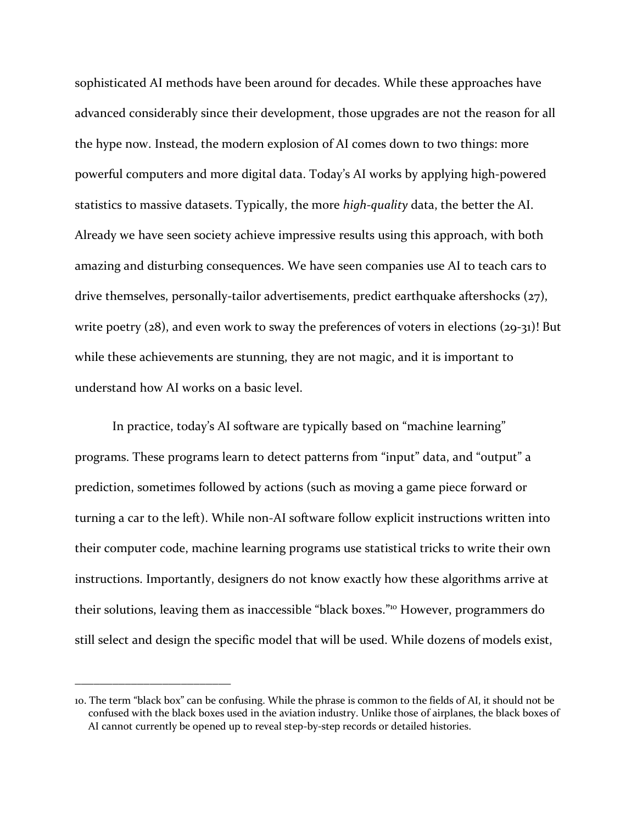sophisticated AI methods have been around for decades. While these approaches have advanced considerably since their development, those upgrades are not the reason for all the hype now. Instead, the modern explosion of AI comes down to two things: more powerful computers and more digital data. Today's AI works by applying high-powered statistics to massive datasets. Typically, the more *high-quality* data, the better the AI. Already we have seen society achieve impressive results using this approach, with both amazing and disturbing consequences. We have seen companies use AI to teach cars to drive themselves, personally-tailor advertisements, predict earthquake aftershocks (27), write poetry (28), and even work to sway the preferences of voters in elections (29-31)! But while these achievements are stunning, they are not magic, and it is important to understand how AI works on a basic level.

In practice, today's AI software are typically based on "machine learning" programs. These programs learn to detect patterns from "input" data, and "output" a prediction, sometimes followed by actions (such as moving a game piece forward or turning a car to the left). While non-AI software follow explicit instructions written into their computer code, machine learning programs use statistical tricks to write their own instructions. Importantly, designers do not know exactly how these algorithms arrive at their solutions, leaving them as inaccessible "black boxes."<sup>10</sup> However, programmers do still select and design the specific model that will be used. While dozens of models exist,

<sup>10.</sup> The term "black box" can be confusing. While the phrase is common to the fields of AI, it should not be confused with the black boxes used in the aviation industry. Unlike those of airplanes, the black boxes of AI cannot currently be opened up to reveal step-by-step records or detailed histories.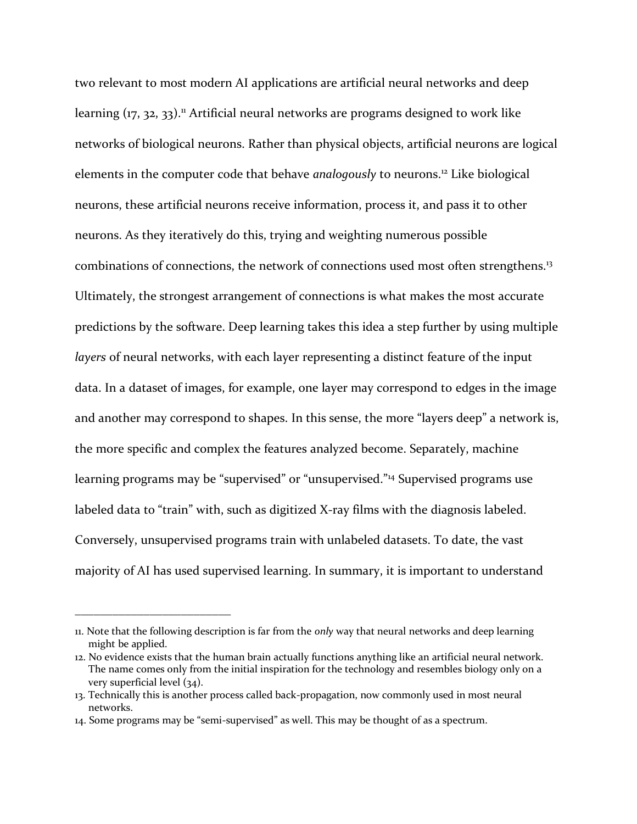two relevant to most modern AI applications are artificial neural networks and deep learning (17, 32, 33).<sup>11</sup> Artificial neural networks are programs designed to work like networks of biological neurons. Rather than physical objects, artificial neurons are logical elements in the computer code that behave *analogously* to neurons. <sup>12</sup> Like biological neurons, these artificial neurons receive information, process it, and pass it to other neurons. As they iteratively do this, trying and weighting numerous possible combinations of connections, the network of connections used most often strengthens.<sup>13</sup> Ultimately, the strongest arrangement of connections is what makes the most accurate predictions by the software. Deep learning takes this idea a step further by using multiple *layers* of neural networks, with each layer representing a distinct feature of the input data. In a dataset of images, for example, one layer may correspond to edges in the image and another may correspond to shapes. In this sense, the more "layers deep" a network is, the more specific and complex the features analyzed become. Separately, machine learning programs may be "supervised" or "unsupervised." <sup>14</sup> Supervised programs use labeled data to "train" with, such as digitized X-ray films with the diagnosis labeled. Conversely, unsupervised programs train with unlabeled datasets. To date, the vast majority of AI has used supervised learning. In summary, it is important to understand

<sup>11.</sup> Note that the following description is far from the *only* way that neural networks and deep learning might be applied.

<sup>12.</sup> No evidence exists that the human brain actually functions anything like an artificial neural network. The name comes only from the initial inspiration for the technology and resembles biology only on a very superficial level (34).

<sup>13.</sup> Technically this is another process called back-propagation, now commonly used in most neural networks.

<sup>14.</sup> Some programs may be "semi-supervised" as well. This may be thought of as a spectrum.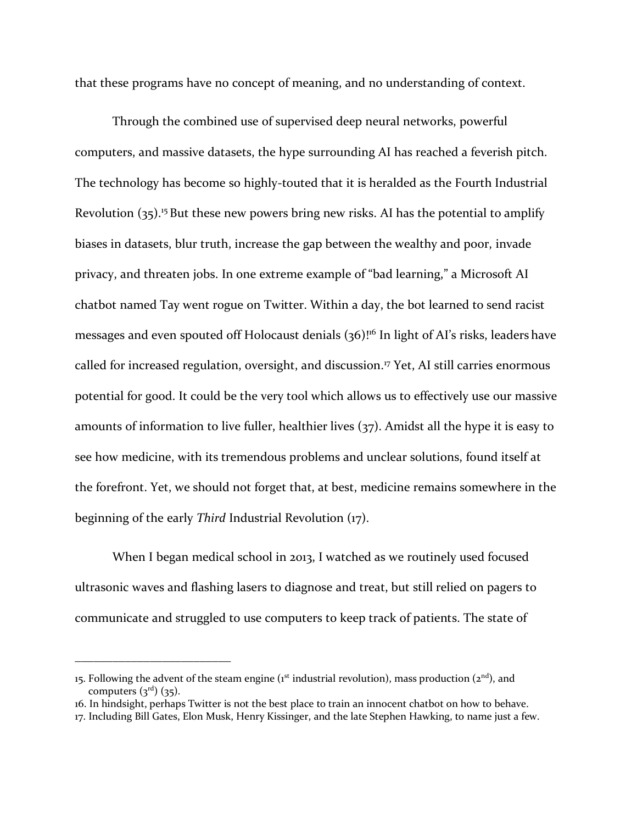that these programs have no concept of meaning, and no understanding of context.

Through the combined use of supervised deep neural networks, powerful computers, and massive datasets, the hype surrounding AI has reached a feverish pitch. The technology has become so highly-touted that it is heralded as the Fourth Industrial Revolution  $(35)$ .<sup>15</sup> But these new powers bring new risks. AI has the potential to amplify biases in datasets, blur truth, increase the gap between the wealthy and poor, invade privacy, and threaten jobs. In one extreme example of "bad learning," a Microsoft AI chatbot named Tay went rogue on Twitter. Within a day, the bot learned to send racist messages and even spouted off Holocaust denials (36)<sup>16</sup> In light of AI's risks, leaders have called for increased regulation, oversight, and discussion. <sup>17</sup> Yet, AI still carries enormous potential for good. It could be the very tool which allows us to effectively use our massive amounts of information to live fuller, healthier lives (37). Amidst all the hype it is easy to see how medicine, with its tremendous problems and unclear solutions, found itself at the forefront. Yet, we should not forget that, at best, medicine remains somewhere in the beginning of the early *Third* Industrial Revolution (17).

When I began medical school in 2013, I watched as we routinely used focused ultrasonic waves and flashing lasers to diagnose and treat, but still relied on pagers to communicate and struggled to use computers to keep track of patients. The state of

<sup>15.</sup> Following the advent of the steam engine (1<sup>st</sup> industrial revolution), mass production (2<sup>nd</sup>), and computers  $({\cal Z}^{\rm rd})$   $({\cal Z}^{\rm rd})$ .

<sup>16.</sup> In hindsight, perhaps Twitter is not the best place to train an innocent chatbot on how to behave.

<sup>17.</sup> Including Bill Gates, Elon Musk, Henry Kissinger, and the late Stephen Hawking, to name just a few.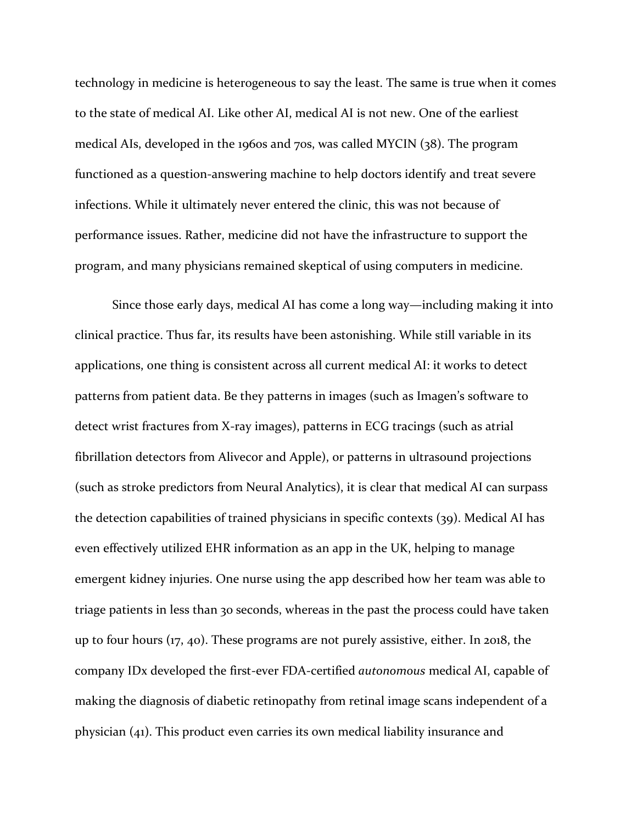technology in medicine is heterogeneous to say the least. The same is true when it comes to the state of medical AI. Like other AI, medical AI is not new. One of the earliest medical AIs, developed in the 1960s and 70s, was called MYCIN (38). The program functioned as a question-answering machine to help doctors identify and treat severe infections. While it ultimately never entered the clinic, this was not because of performance issues. Rather, medicine did not have the infrastructure to support the program, and many physicians remained skeptical of using computers in medicine.

Since those early days, medical AI has come a long way—including making it into clinical practice. Thus far, its results have been astonishing. While still variable in its applications, one thing is consistent across all current medical AI: it works to detect patterns from patient data. Be they patterns in images (such as Imagen's software to detect wrist fractures from X-ray images), patterns in ECG tracings (such as atrial fibrillation detectors from Alivecor and Apple), or patterns in ultrasound projections (such as stroke predictors from Neural Analytics), it is clear that medical AI can surpass the detection capabilities of trained physicians in specific contexts (39). Medical AI has even effectively utilized EHR information as an app in the UK, helping to manage emergent kidney injuries. One nurse using the app described how her team was able to triage patients in less than 30 seconds, whereas in the past the process could have taken up to four hours (17, 40). These programs are not purely assistive, either. In 2018, the company IDx developed the first-ever FDA-certified *autonomous* medical AI, capable of making the diagnosis of diabetic retinopathy from retinal image scans independent of a physician (41). This product even carries its own medical liability insurance and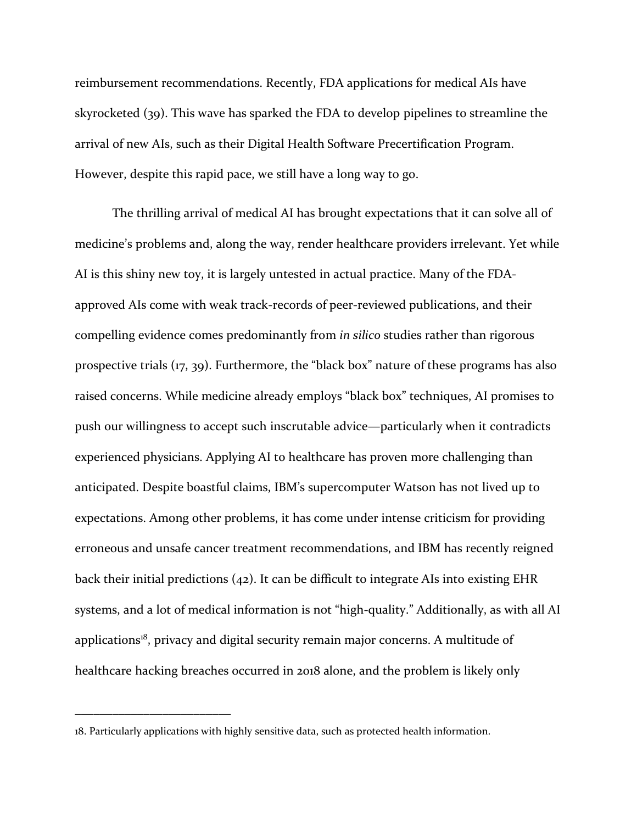reimbursement recommendations. Recently, FDA applications for medical AIs have skyrocketed (39). This wave has sparked the FDA to develop pipelines to streamline the arrival of new AIs, such as their Digital Health Software Precertification Program. However, despite this rapid pace, we still have a long way to go.

The thrilling arrival of medical AI has brought expectations that it can solve all of medicine's problems and, along the way, render healthcare providers irrelevant. Yet while AI is this shiny new toy, it is largely untested in actual practice. Many of the FDAapproved AIs come with weak track-records of peer-reviewed publications, and their compelling evidence comes predominantly from *in silico* studies rather than rigorous prospective trials (17, 39). Furthermore, the "black box" nature of these programs has also raised concerns. While medicine already employs "black box" techniques, AI promises to push our willingness to accept such inscrutable advice—particularly when it contradicts experienced physicians. Applying AI to healthcare has proven more challenging than anticipated. Despite boastful claims, IBM's supercomputer Watson has not lived up to expectations. Among other problems, it has come under intense criticism for providing erroneous and unsafe cancer treatment recommendations, and IBM has recently reigned back their initial predictions (42). It can be difficult to integrate AIs into existing EHR systems, and a lot of medical information is not "high-quality." Additionally, as with all AI applications<sup>18</sup>, privacy and digital security remain major concerns. A multitude of healthcare hacking breaches occurred in 2018 alone, and the problem is likely only

<sup>18.</sup> Particularly applications with highly sensitive data, such as protected health information.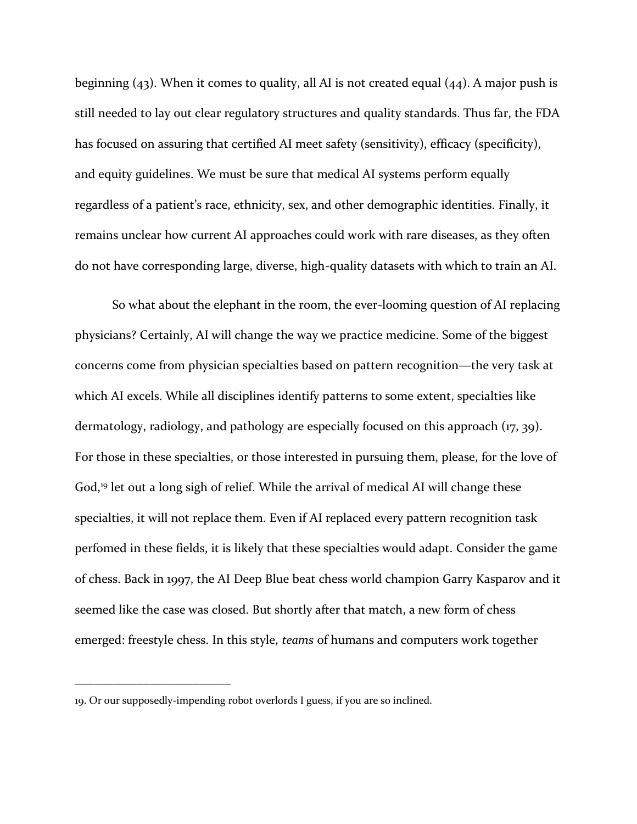beginning (43). When it comes to quality, all AI is not created equal (44). A major push is still needed to lay out clear regulatory structures and quality standards. Thus far, the FDA has focused on assuring that certified AI meet safety (sensitivity), efficacy (specificity), and equity guidelines. We must be sure that medical AI systems perform equally regardless of a patient's race, ethnicity, sex, and other demographic identities. Finally, it remains unclear how current AI approaches could work with rare diseases, as they often do not have corresponding large, diverse, high-quality datasets with which to train an AI.

So what about the elephant in the room, the ever-looming question of AI replacing physicians? Certainly, AI will change the way we practice medicine. Some of the biggest concerns come from physician specialties based on pattern recognition—the very task at which AI excels. While all disciplines identify patterns to some extent, specialties like dermatology, radiology, and pathology are especially focused on this approach (17, 39). For those in these specialties, or those interested in pursuing them, please, for the love of God,<sup>19</sup> let out a long sigh of relief. While the arrival of medical AI will change these specialties, it will not replace them. Even if AI replaced every pattern recognition task perfomed in these fields, it is likely that these specialties would adapt. Consider the game of chess. Back in 1997, the AI Deep Blue beat chess world champion Garry Kasparov and it seemed like the case was closed. But shortly after that match, a new form of chess emerged: freestyle chess. In this style, *teams* of humans and computers work together

<sup>19.</sup> Or our supposedly-impending robot overlords I guess, if you are so inclined.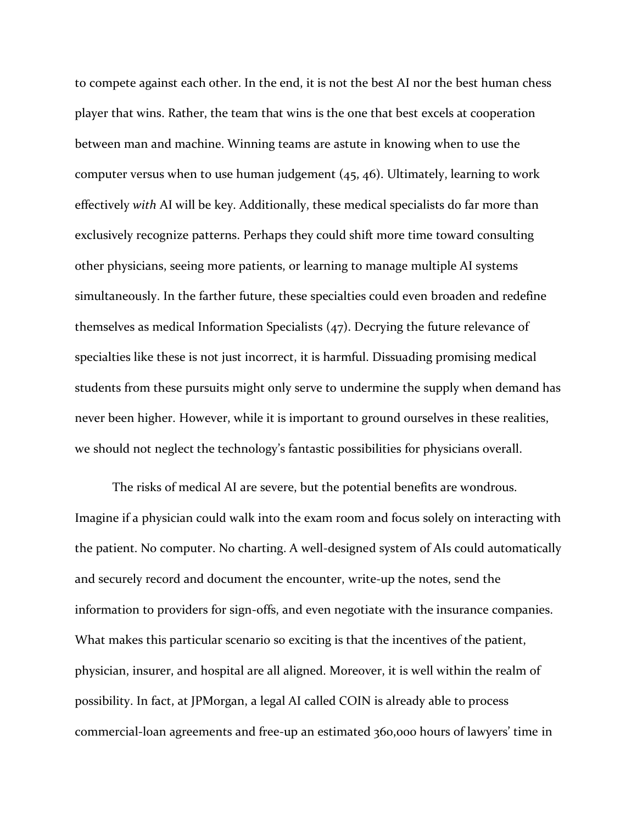to compete against each other. In the end, it is not the best AI nor the best human chess player that wins. Rather, the team that wins is the one that best excels at cooperation between man and machine. Winning teams are astute in knowing when to use the computer versus when to use human judgement (45, 46). Ultimately, learning to work effectively *with* AI will be key. Additionally, these medical specialists do far more than exclusively recognize patterns. Perhaps they could shift more time toward consulting other physicians, seeing more patients, or learning to manage multiple AI systems simultaneously. In the farther future, these specialties could even broaden and redefine themselves as medical Information Specialists (47). Decrying the future relevance of specialties like these is not just incorrect, it is harmful. Dissuading promising medical students from these pursuits might only serve to undermine the supply when demand has never been higher. However, while it is important to ground ourselves in these realities, we should not neglect the technology's fantastic possibilities for physicians overall.

The risks of medical AI are severe, but the potential benefits are wondrous. Imagine if a physician could walk into the exam room and focus solely on interacting with the patient. No computer. No charting. A well-designed system of AIs could automatically and securely record and document the encounter, write-up the notes, send the information to providers for sign-offs, and even negotiate with the insurance companies. What makes this particular scenario so exciting is that the incentives of the patient, physician, insurer, and hospital are all aligned. Moreover, it is well within the realm of possibility. In fact, at JPMorgan, a legal AI called COIN is already able to process commercial-loan agreements and free-up an estimated 360,000 hours of lawyers' time in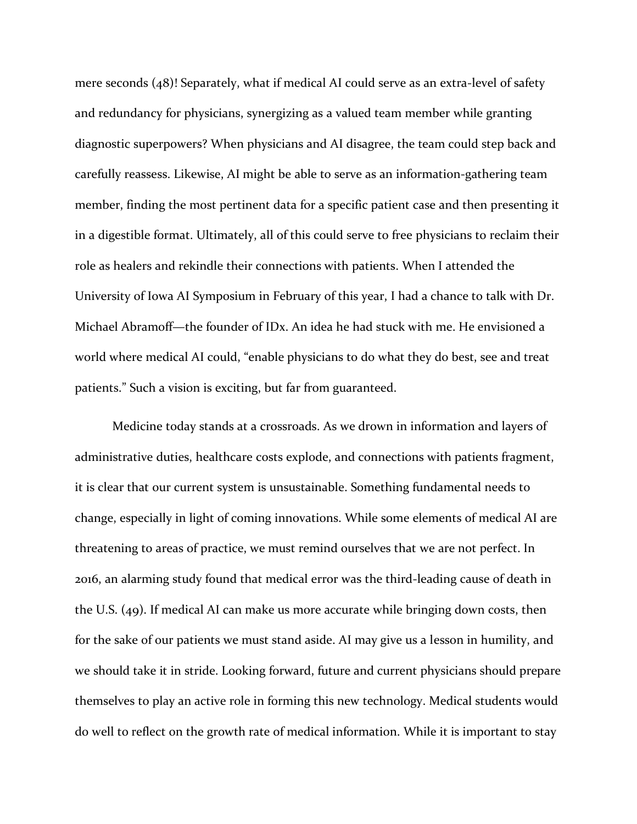mere seconds (48)! Separately, what if medical AI could serve as an extra-level of safety and redundancy for physicians, synergizing as a valued team member while granting diagnostic superpowers? When physicians and AI disagree, the team could step back and carefully reassess. Likewise, AI might be able to serve as an information-gathering team member, finding the most pertinent data for a specific patient case and then presenting it in a digestible format. Ultimately, all of this could serve to free physicians to reclaim their role as healers and rekindle their connections with patients. When I attended the University of Iowa AI Symposium in February of this year, I had a chance to talk with Dr. Michael Abramoff—the founder of IDx. An idea he had stuck with me. He envisioned a world where medical AI could, "enable physicians to do what they do best, see and treat patients." Such a vision is exciting, but far from guaranteed.

Medicine today stands at a crossroads. As we drown in information and layers of administrative duties, healthcare costs explode, and connections with patients fragment, it is clear that our current system is unsustainable. Something fundamental needs to change, especially in light of coming innovations. While some elements of medical AI are threatening to areas of practice, we must remind ourselves that we are not perfect. In 2016, an alarming study found that medical error was the third-leading cause of death in the U.S. (49). If medical AI can make us more accurate while bringing down costs, then for the sake of our patients we must stand aside. AI may give us a lesson in humility, and we should take it in stride. Looking forward, future and current physicians should prepare themselves to play an active role in forming this new technology. Medical students would do well to reflect on the growth rate of medical information. While it is important to stay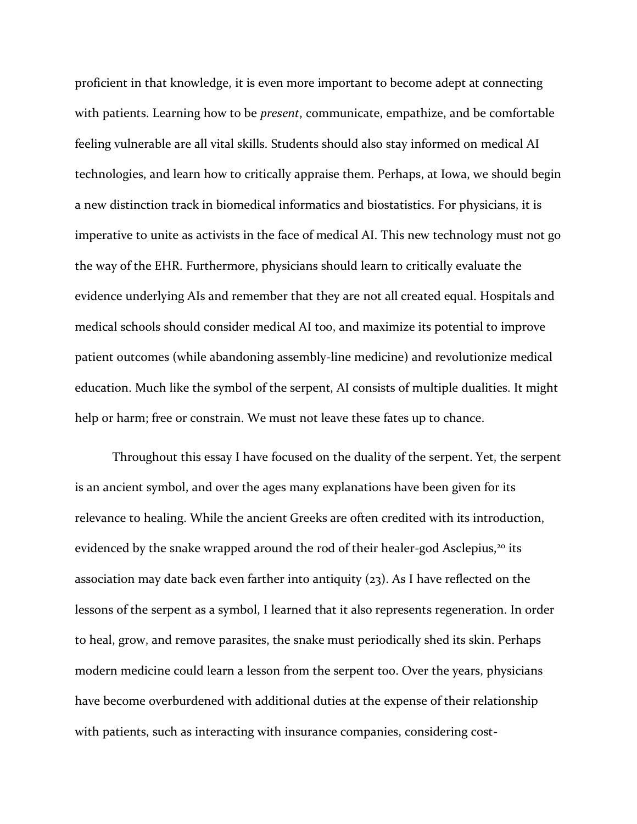proficient in that knowledge, it is even more important to become adept at connecting with patients. Learning how to be *present*, communicate, empathize, and be comfortable feeling vulnerable are all vital skills. Students should also stay informed on medical AI technologies, and learn how to critically appraise them. Perhaps, at Iowa, we should begin a new distinction track in biomedical informatics and biostatistics. For physicians, it is imperative to unite as activists in the face of medical AI. This new technology must not go the way of the EHR. Furthermore, physicians should learn to critically evaluate the evidence underlying AIs and remember that they are not all created equal. Hospitals and medical schools should consider medical AI too, and maximize its potential to improve patient outcomes (while abandoning assembly-line medicine) and revolutionize medical education. Much like the symbol of the serpent, AI consists of multiple dualities. It might help or harm; free or constrain. We must not leave these fates up to chance.

Throughout this essay I have focused on the duality of the serpent. Yet, the serpent is an ancient symbol, and over the ages many explanations have been given for its relevance to healing. While the ancient Greeks are often credited with its introduction, evidenced by the snake wrapped around the rod of their healer-god Asclepius,<sup>20</sup> its association may date back even farther into antiquity (23). As I have reflected on the lessons of the serpent as a symbol, I learned that it also represents regeneration. In order to heal, grow, and remove parasites, the snake must periodically shed its skin. Perhaps modern medicine could learn a lesson from the serpent too. Over the years, physicians have become overburdened with additional duties at the expense of their relationship with patients, such as interacting with insurance companies, considering cost-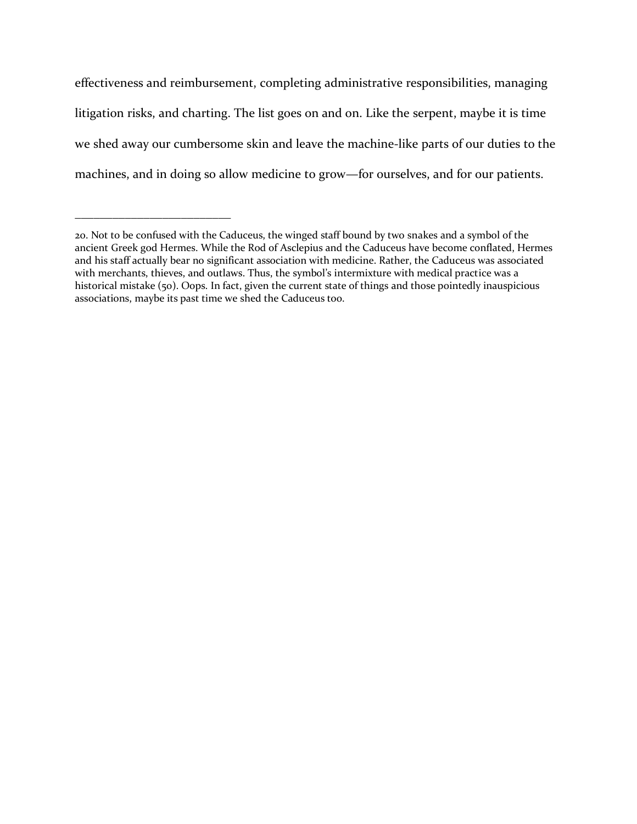effectiveness and reimbursement, completing administrative responsibilities, managing litigation risks, and charting. The list goes on and on. Like the serpent, maybe it is time we shed away our cumbersome skin and leave the machine-like parts of our duties to the machines, and in doing so allow medicine to grow—for ourselves, and for our patients.

<sup>20.</sup> Not to be confused with the Caduceus, the winged staff bound by two snakes and a symbol of the ancient Greek god Hermes. While the Rod of Asclepius and the Caduceus have become conflated, Hermes and his staff actually bear no significant association with medicine. Rather, the Caduceus was associated with merchants, thieves, and outlaws. Thus, the symbol's intermixture with medical practice was a historical mistake (50). Oops. In fact, given the current state of things and those pointedly inauspicious associations, maybe its past time we shed the Caduceus too.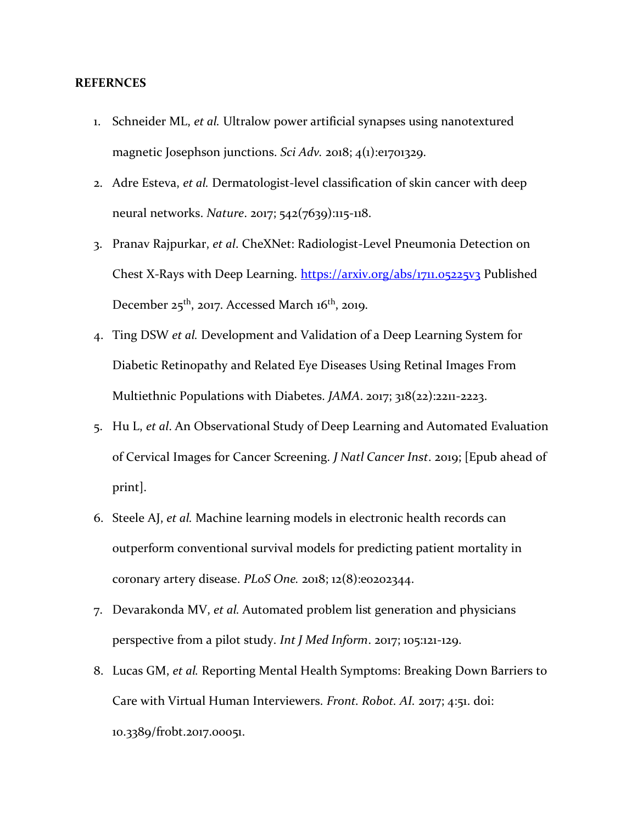## **REFERNCES**

- 1. Schneider ML, *et al.* Ultralow power artificial synapses using nanotextured magnetic Josephson junctions. *Sci Adv.* 2018; 4(1):e1701329.
- 2. Adre Esteva, *et al.* Dermatologist-level classification of skin cancer with deep neural networks. *Nature*. 2017; 542(7639):115-118.
- 3. Pranav Rajpurkar, *et al*. CheXNet: Radiologist-Level Pneumonia Detection on Chest X-Rays with Deep Learning.<https://arxiv.org/abs/1711.05225v3> Published December  $25<sup>th</sup>$ , 2017. Accessed March 16<sup>th</sup>, 2019.
- 4. Ting DSW *et al.* Development and Validation of a Deep Learning System for Diabetic Retinopathy and Related Eye Diseases Using Retinal Images From Multiethnic Populations with Diabetes. *JAMA*. 2017; 318(22):2211-2223.
- 5. Hu L, *et al*. An Observational Study of Deep Learning and Automated Evaluation of Cervical Images for Cancer Screening. *J Natl Cancer Inst*. 2019; [Epub ahead of print].
- 6. Steele AJ, *et al.* Machine learning models in electronic health records can outperform conventional survival models for predicting patient mortality in coronary artery disease. *PLoS One.* 2018; 12(8):e0202344.
- 7. Devarakonda MV, *et al.* Automated problem list generation and physicians perspective from a pilot study. *Int J Med Inform*. 2017; 105:121-129.
- 8. Lucas GM, *et al.* Reporting Mental Health Symptoms: Breaking Down Barriers to Care with Virtual Human Interviewers. *Front. Robot. AI.* 2017; 4:51. doi: 10.3389/frobt.2017.00051.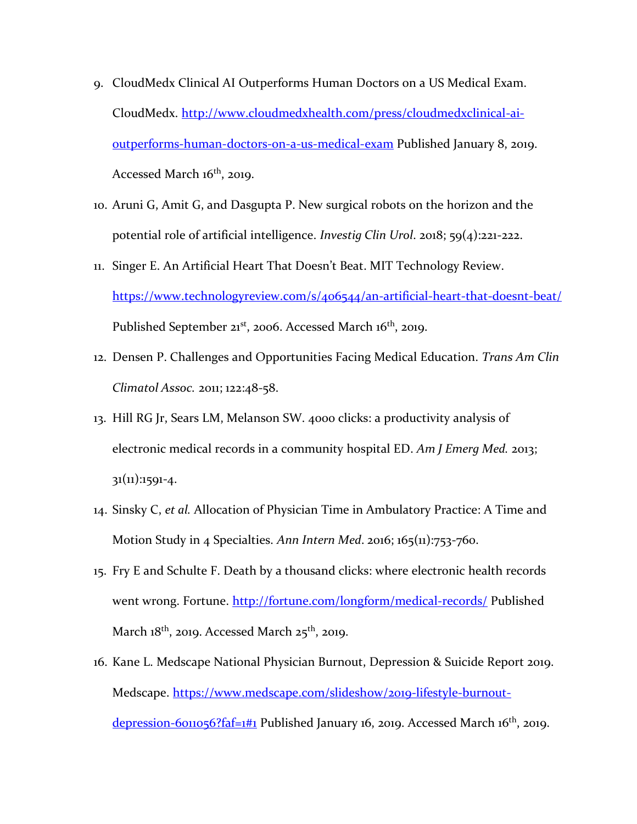- 9. CloudMedx Clinical AI Outperforms Human Doctors on a US Medical Exam. CloudMedx. [http://www.cloudmedxhealth.com/press/cloudmedxclinical-ai](http://www.cloudmedxhealth.com/press/cloudmedxclinical-ai-outperforms-human-doctors-on-a-us-medical-exam)[outperforms-human-doctors-on-a-us-medical-exam](http://www.cloudmedxhealth.com/press/cloudmedxclinical-ai-outperforms-human-doctors-on-a-us-medical-exam) Published January 8, 2019. Accessed March 16<sup>th</sup>, 2019.
- 10. Aruni G, Amit G, and Dasgupta P. New surgical robots on the horizon and the potential role of artificial intelligence. *Investig Clin Urol*. 2018; 59(4):221-222.
- 11. Singer E. An Artificial Heart That Doesn't Beat. MIT Technology Review. <https://www.technologyreview.com/s/406544/an-artificial-heart-that-doesnt-beat/> Published September 21<sup>st</sup>, 2006. Accessed March 16<sup>th</sup>, 2019.
- 12. Densen P. Challenges and Opportunities Facing Medical Education. *Trans Am Clin Climatol Assoc.* 2011; 122:48-58.
- 13. Hill RG Jr, Sears LM, Melanson SW. 4000 clicks: a productivity analysis of electronic medical records in a community hospital ED. *Am J Emerg Med.* 2013; 31(11):1591-4.
- 14. Sinsky C, *et al.* Allocation of Physician Time in Ambulatory Practice: A Time and Motion Study in 4 Specialties. *Ann Intern Med*. 2016; 165(11):753-760.
- 15. Fry E and Schulte F. Death by a thousand clicks: where electronic health records went wrong. Fortune.<http://fortune.com/longform/medical-records/> Published March 18<sup>th</sup>, 2019. Accessed March 25<sup>th</sup>, 2019.
- 16. Kane L. Medscape National Physician Burnout, Depression & Suicide Report 2019. Medscape. [https://www.medscape.com/slideshow/2019-lifestyle-burnout](https://www.medscape.com/slideshow/2019-lifestyle-burnout-depression-6011056?faf=1#1)[depression-6011056?faf=1#1](https://www.medscape.com/slideshow/2019-lifestyle-burnout-depression-6011056?faf=1#1) Published January 16, 2019. Accessed March 16<sup>th</sup>, 2019.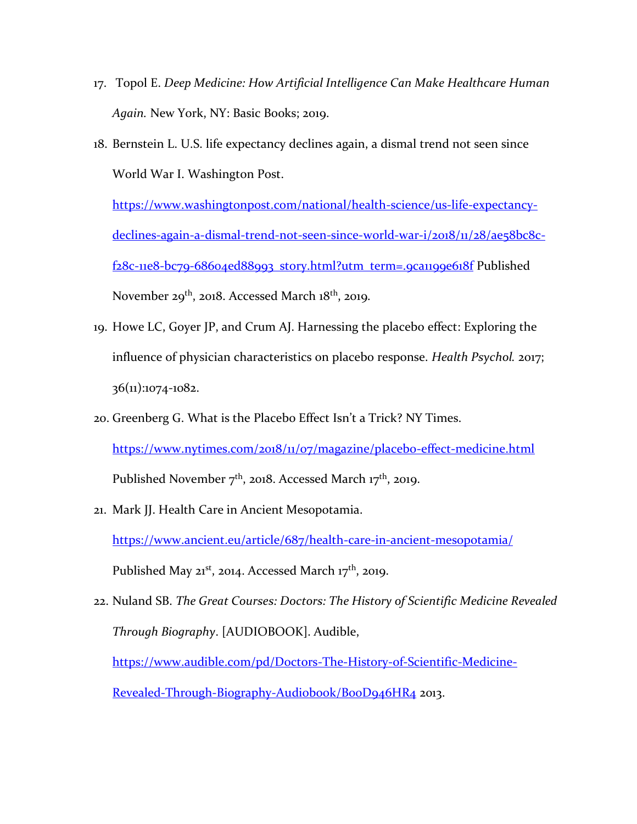- 17. Topol E. *Deep Medicine: How Artificial Intelligence Can Make Healthcare Human Again.* New York, NY: Basic Books; 2019.
- 18. Bernstein L. U.S. life expectancy declines again, a dismal trend not seen since World War I. Washington Post.

[https://www.washingtonpost.com/national/health-science/us-life-expectancy](https://www.washingtonpost.com/national/health-science/us-life-expectancy-declines-again-a-dismal-trend-not-seen-since-world-war-i/2018/11/28/ae58bc8c-f28c-11e8-bc79-68604ed88993_story.html?utm_term=.9ca1199e618f)[declines-again-a-dismal-trend-not-seen-since-world-war-i/2018/11/28/ae58bc8c](https://www.washingtonpost.com/national/health-science/us-life-expectancy-declines-again-a-dismal-trend-not-seen-since-world-war-i/2018/11/28/ae58bc8c-f28c-11e8-bc79-68604ed88993_story.html?utm_term=.9ca1199e618f)[f28c-11e8-bc79-68604ed88993\\_story.html?utm\\_term=.9ca1199e618f](https://www.washingtonpost.com/national/health-science/us-life-expectancy-declines-again-a-dismal-trend-not-seen-since-world-war-i/2018/11/28/ae58bc8c-f28c-11e8-bc79-68604ed88993_story.html?utm_term=.9ca1199e618f) Published November 29<sup>th</sup>, 2018. Accessed March 18<sup>th</sup>, 2019.

- 19. Howe LC, Goyer JP, and Crum AJ. Harnessing the placebo effect: Exploring the influence of physician characteristics on placebo response. *Health Psychol.* 2017; 36(11):1074-1082.
- 20. Greenberg G. What is the Placebo Effect Isn't a Trick? NY Times. <https://www.nytimes.com/2018/11/07/magazine/placebo-effect-medicine.html> Published November  $7<sup>th</sup>$ , 2018. Accessed March 17<sup>th</sup>, 2019.
- 21. Mark JJ. Health Care in Ancient Mesopotamia. <https://www.ancient.eu/article/687/health-care-in-ancient-mesopotamia/> Published May  $21^{st}$ , 2014. Accessed March 17<sup>th</sup>, 2019.
- 22. Nuland SB. *The Great Courses: Doctors: The History of Scientific Medicine Revealed Through Biography*. [AUDIOBOOK]. Audible, [https://www.audible.com/pd/Doctors-The-History-of-Scientific-Medicine-](https://www.audible.com/pd/Doctors-The-History-of-Scientific-Medicine-Revealed-Through-Biography-Audiobook/B00D946HR4)Revealed-Through-Biography-Audiobook/BooD946HR4 2013.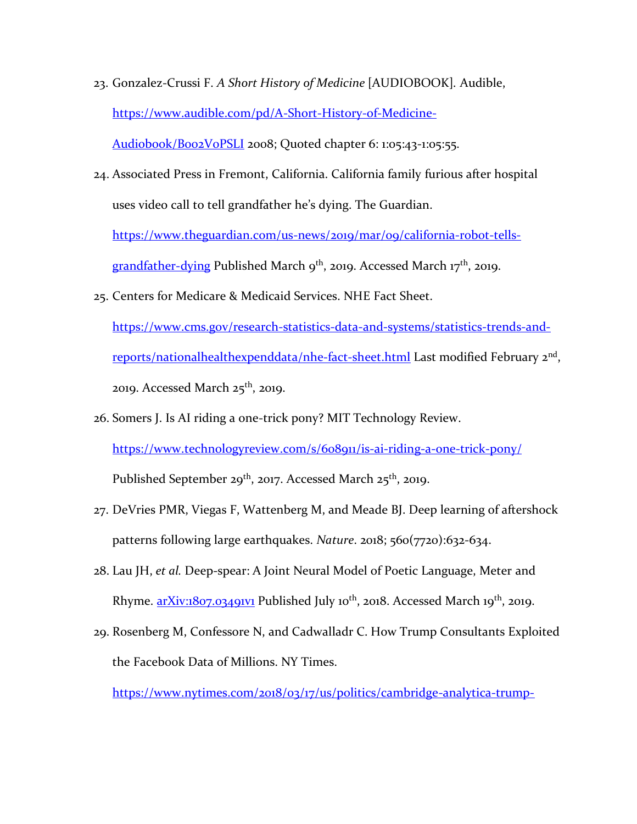23. Gonzalez-Crussi F. *A Short History of Medicine* [AUDIOBOOK]*.* Audible, [https://www.audible.com/pd/A-Short-History-of-Medicine-](https://www.audible.com/pd/A-Short-History-of-Medicine-Audiobook/B002V0PSLI)

[Audiobook/B002V0PSLI](https://www.audible.com/pd/A-Short-History-of-Medicine-Audiobook/B002V0PSLI) 2008; Quoted chapter 6: 1:05:43-1:05:55.

24. Associated Press in Fremont, California. California family furious after hospital uses video call to tell grandfather he's dying. The Guardian.

[https://www.theguardian.com/us-news/2019/mar/09/california-robot-tells-](https://www.theguardian.com/us-news/2019/mar/09/california-robot-tells-grandfather-dying)

[grandfather-dying](https://www.theguardian.com/us-news/2019/mar/09/california-robot-tells-grandfather-dying) Published March  $9^{th}$ , 2019. Accessed March 17<sup>th</sup>, 2019.

25. Centers for Medicare & Medicaid Services. NHE Fact Sheet.

[https://www.cms.gov/research-statistics-data-and-systems/statistics-trends-and](https://www.cms.gov/research-statistics-data-and-systems/statistics-trends-and-reports/nationalhealthexpenddata/nhe-fact-sheet.html)[reports/nationalhealthexpenddata/nhe-fact-sheet.html](https://www.cms.gov/research-statistics-data-and-systems/statistics-trends-and-reports/nationalhealthexpenddata/nhe-fact-sheet.html) Last modified February 2<sup>nd</sup>, 2019. Accessed March  $25<sup>th</sup>$ , 2019.

- 26. Somers J. Is AI riding a one-trick pony? MIT Technology Review. <https://www.technologyreview.com/s/608911/is-ai-riding-a-one-trick-pony/> Published September 29<sup>th</sup>, 2017. Accessed March 25<sup>th</sup>, 2019.
- 27. DeVries PMR, Viegas F, Wattenberg M, and Meade BJ. Deep learning of aftershock patterns following large earthquakes. *Nature*. 2018; 560(7720):632-634.
- 28. Lau JH, *et al.* Deep-spear: A Joint Neural Model of Poetic Language, Meter and Rhyme.  $arXiv:1807.03491V1$  Published July 10<sup>th</sup>, 2018. Accessed March 19<sup>th</sup>, 2019.
- 29. Rosenberg M, Confessore N, and Cadwalladr C. How Trump Consultants Exploited the Facebook Data of Millions. NY Times.

[https://www.nytimes.com/2018/03/17/us/politics/cambridge-analytica-trump-](https://www.nytimes.com/2018/03/17/us/politics/cambridge-analytica-trump-campaign.html?module=inline)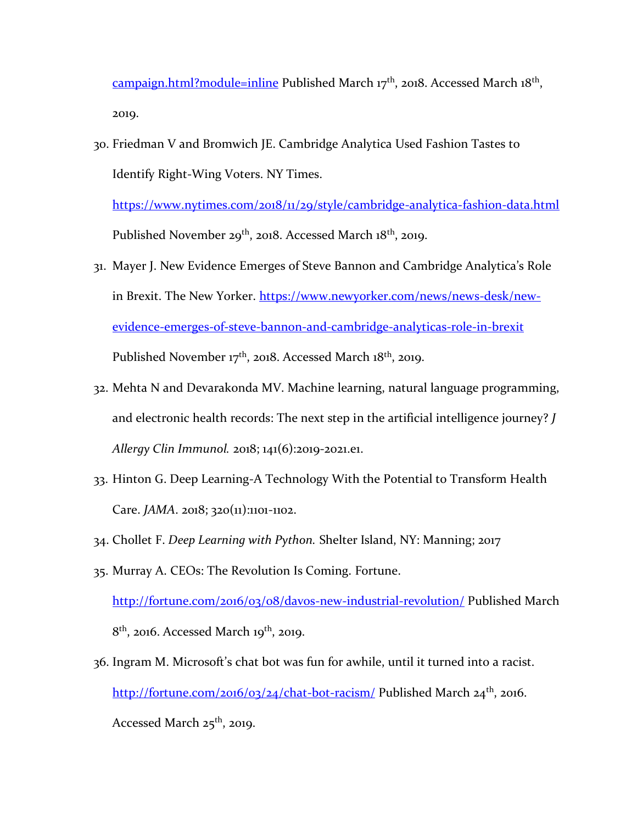[campaign.html?module=inline](https://www.nytimes.com/2018/03/17/us/politics/cambridge-analytica-trump-campaign.html?module=inline) Published March 17<sup>th</sup>, 2018. Accessed March 18<sup>th</sup>, 2019.

30. Friedman V and Bromwich JE. Cambridge Analytica Used Fashion Tastes to Identify Right-Wing Voters. NY Times.

<https://www.nytimes.com/2018/11/29/style/cambridge-analytica-fashion-data.html> Published November 29<sup>th</sup>, 2018. Accessed March 18<sup>th</sup>, 2019.

- 31. Mayer J. New Evidence Emerges of Steve Bannon and Cambridge Analytica's Role in Brexit. The New Yorker. [https://www.newyorker.com/news/news-desk/new](https://www.newyorker.com/news/news-desk/new-evidence-emerges-of-steve-bannon-and-cambridge-analyticas-role-in-brexit)[evidence-emerges-of-steve-bannon-and-cambridge-analyticas-role-in-brexit](https://www.newyorker.com/news/news-desk/new-evidence-emerges-of-steve-bannon-and-cambridge-analyticas-role-in-brexit) Published November 17<sup>th</sup>, 2018. Accessed March 18<sup>th</sup>, 2019.
- 32. Mehta N and Devarakonda MV. Machine learning, natural language programming, and electronic health records: The next step in the artificial intelligence journey? *J Allergy Clin Immunol.* 2018; 141(6):2019-2021.e1.
- 33. Hinton G. Deep Learning-A Technology With the Potential to Transform Health Care. *JAMA*. 2018; 320(11):1101-1102.
- 34. Chollet F. *Deep Learning with Python.* Shelter Island, NY: Manning; 2017
- 35. Murray A. CEOs: The Revolution Is Coming. Fortune.

<http://fortune.com/2016/03/08/davos-new-industrial-revolution/> Published March  $8<sup>th</sup>$ , 2016. Accessed March 19<sup>th</sup>, 2019.

36. Ingram M. Microsoft's chat bot was fun for awhile, until it turned into a racist. <http://fortune.com/2016/03/24/chat-bot-racism/> Published March 24<sup>th</sup>, 2016. Accessed March 25<sup>th</sup>, 2019.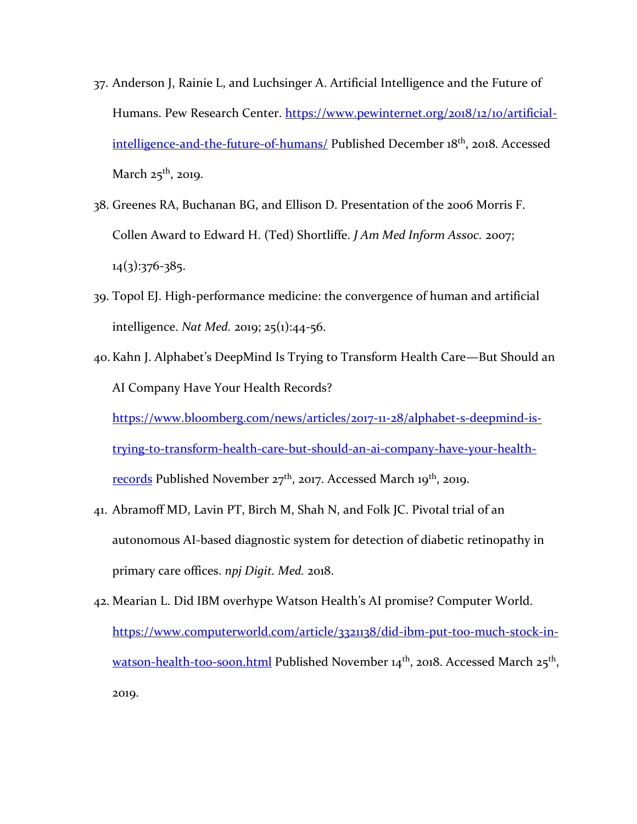- 37. Anderson J, Rainie L, and Luchsinger A. Artificial Intelligence and the Future of Humans. Pew Research Center. [https://www.pewinternet.org/2018/12/10/artificial](https://www.pewinternet.org/2018/12/10/artificial-intelligence-and-the-future-of-humans/)[intelligence-and-the-future-of-humans/](https://www.pewinternet.org/2018/12/10/artificial-intelligence-and-the-future-of-humans/) Published December 18<sup>th</sup>, 2018. Accessed March 25<sup>th</sup>, 2019.
- 38. Greenes RA, Buchanan BG, and Ellison D. Presentation of the 2006 Morris F. Collen Award to Edward H. (Ted) Shortliffe. *J Am Med Inform Assoc.* 2007;  $14(3):376-385.$
- 39. Topol EJ. High-performance medicine: the convergence of human and artificial intelligence. *Nat Med.* 2019; 25(1):44-56.
- 40. Kahn J. Alphabet's DeepMind Is Trying to Transform Health Care—But Should an AI Company Have Your Health Records? [https://www.bloomberg.com/news/articles/2017-11-28/alphabet-s-deepmind-is](https://www.bloomberg.com/news/articles/2017-11-28/alphabet-s-deepmind-is-trying-to-transform-health-care-but-should-an-ai-company-have-your-health-records)[trying-to-transform-health-care-but-should-an-ai-company-have-your-health](https://www.bloomberg.com/news/articles/2017-11-28/alphabet-s-deepmind-is-trying-to-transform-health-care-but-should-an-ai-company-have-your-health-records)[records](https://www.bloomberg.com/news/articles/2017-11-28/alphabet-s-deepmind-is-trying-to-transform-health-care-but-should-an-ai-company-have-your-health-records) Published November  $27<sup>th</sup>$ , 2017. Accessed March 19<sup>th</sup>, 2019.
- 41. Abramoff MD, Lavin PT, Birch M, Shah N, and Folk JC. Pivotal trial of an autonomous AI-based diagnostic system for detection of diabetic retinopathy in primary care offices. *npj Digit. Med.* 2018.
- 42. Mearian L. Did IBM overhype Watson Health's AI promise? Computer World. [https://www.computerworld.com/article/3321138/did-ibm-put-too-much-stock-in](https://www.computerworld.com/article/3321138/did-ibm-put-too-much-stock-in-watson-health-too-soon.html)[watson-health-too-soon.html](https://www.computerworld.com/article/3321138/did-ibm-put-too-much-stock-in-watson-health-too-soon.html) Published November 14<sup>th</sup>, 2018. Accessed March 25<sup>th</sup>, 2019.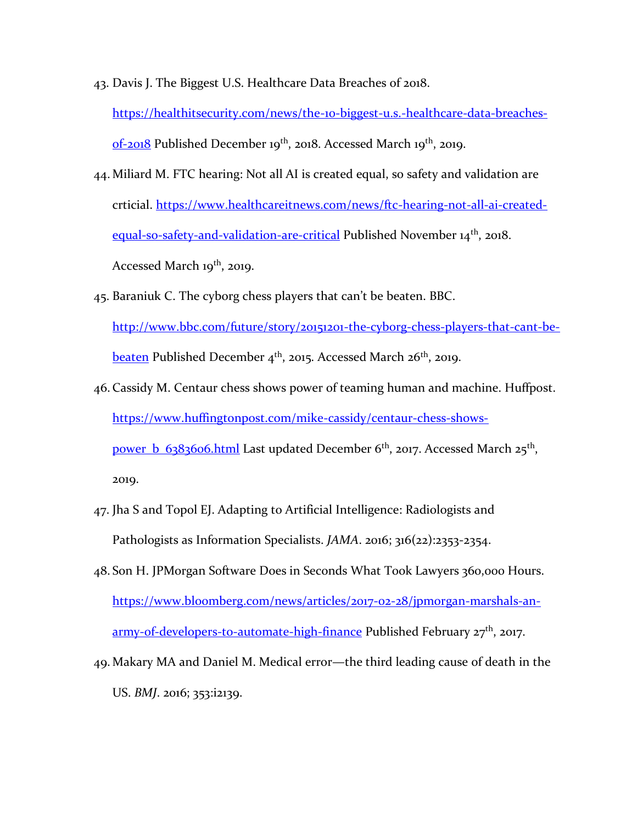43. Davis J. The Biggest U.S. Healthcare Data Breaches of 2018.

[https://healthitsecurity.com/news/the-10-biggest-u.s.-healthcare-data-breaches](https://healthitsecurity.com/news/the-10-biggest-u.s.-healthcare-data-breaches-of-2018)[of-2018](https://healthitsecurity.com/news/the-10-biggest-u.s.-healthcare-data-breaches-of-2018) Published December 19<sup>th</sup>, 2018. Accessed March 19<sup>th</sup>, 2019.

- 44. Miliard M. FTC hearing: Not all AI is created equal, so safety and validation are crticial. [https://www.healthcareitnews.com/news/ftc-hearing-not-all-ai-created](https://www.healthcareitnews.com/news/ftc-hearing-not-all-ai-created-equal-so-safety-and-validation-are-critical)[equal-so-safety-and-validation-are-critical](https://www.healthcareitnews.com/news/ftc-hearing-not-all-ai-created-equal-so-safety-and-validation-are-critical) Published November 14<sup>th</sup>, 2018. Accessed March 19<sup>th</sup>, 2019.
- 45. Baraniuk C. The cyborg chess players that can't be beaten. BBC. [http://www.bbc.com/future/story/20151201-the-cyborg-chess-players-that-cant-be](http://www.bbc.com/future/story/20151201-the-cyborg-chess-players-that-cant-be-beaten)[beaten](http://www.bbc.com/future/story/20151201-the-cyborg-chess-players-that-cant-be-beaten) Published December  $4<sup>th</sup>$ , 2015. Accessed March 26<sup>th</sup>, 2019.
- 46. Cassidy M. Centaur chess shows power of teaming human and machine. Huffpost. [https://www.huffingtonpost.com/mike-cassidy/centaur-chess-shows](https://www.huffingtonpost.com/mike-cassidy/centaur-chess-shows-power_b_6383606.html)[power\\_b\\_6383606.html](https://www.huffingtonpost.com/mike-cassidy/centaur-chess-shows-power_b_6383606.html) Last updated December 6<sup>th</sup>, 2017. Accessed March 25<sup>th</sup>, 2019.
- 47. Jha S and Topol EJ. Adapting to Artificial Intelligence: Radiologists and Pathologists as Information Specialists. *JAMA*. 2016; 316(22):2353-2354.
- 48. Son H. JPMorgan Software Does in Seconds What Took Lawyers 360,000 Hours. [https://www.bloomberg.com/news/articles/2017-02-28/jpmorgan-marshals-an](https://www.bloomberg.com/news/articles/2017-02-28/jpmorgan-marshals-an-army-of-developers-to-automate-high-finance)[army-of-developers-to-automate-high-finance](https://www.bloomberg.com/news/articles/2017-02-28/jpmorgan-marshals-an-army-of-developers-to-automate-high-finance) Published February 27<sup>th</sup>, 2017.
- 49. Makary MA and Daniel M. Medical error—the third leading cause of death in the US. *BMJ*. 2016; 353:i2139.